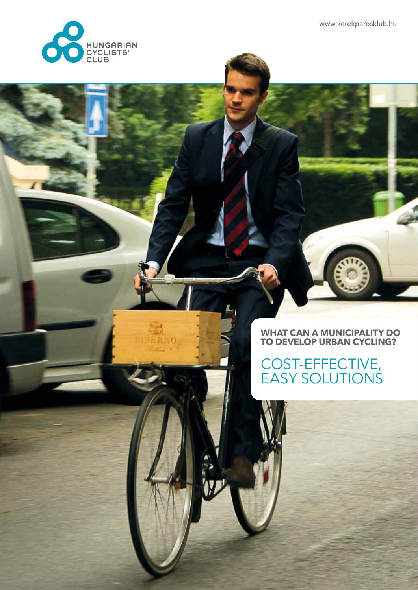www.kerekparosklub.hu



### **WHAT CAN A MUNICIPALITY DO TO DEVELOP URBAN CYCLING?**

### COST-EFFECTIVE, EASY SOLUTIONS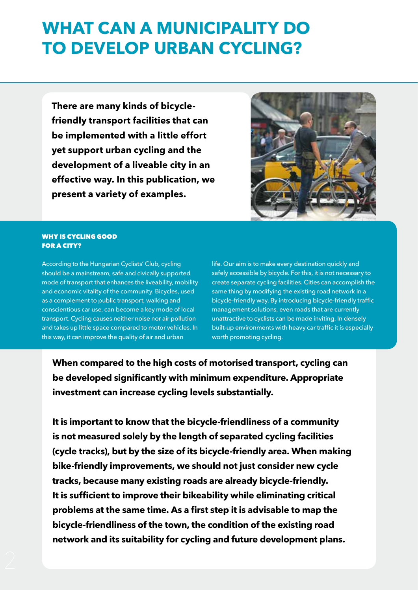### **WHAT CAN A MUNICIPALITY DO TO DEVELOP URBAN CYCLING?**

**There are many kinds of bicyclefriendly transport facilities that can be implemented with a little effort yet support urban cycling and the development of a liveable city in an effective way. In this publication, we present a variety of examples.** 



#### WHY IS CYCLING GOOD FOR A CITY?

According to the Hungarian Cyclists' Club, cycling should be a mainstream, safe and civically supported mode of transport that enhances the liveability, mobility and economic vitality of the community. Bicycles, used as a complement to public transport, walking and conscientious car use, can become a key mode of local transport. Cycling causes neither noise nor air pollution and takes up little space compared to motor vehicles. In this way, it can improve the quality of air and urban

life. Our aim is to make every destination quickly and safely accessible by bicycle. For this, it is not necessary to create separate cycling facilities. Cities can accomplish the same thing by modifying the existing road network in a bicycle-friendly way. By introducing bicycle-friendly traffic management solutions, even roads that are currently unattractive to cyclists can be made inviting. In densely built-up environments with heavy car traffic it is especially worth promoting cycling.

**When compared to the high costs of motorised transport, cycling can be developed significantly with minimum expenditure. Appropriate investment can increase cycling levels substantially.** 

**It is important to know that the bicycle-friendliness of a community is not measured solely by the length of separated cycling facilities (cycle tracks), but by the size of its bicycle-friendly area. When making bike-friendly improvements, we should not just consider new cycle tracks, because many existing roads are already bicycle-friendly. It is sufficient to improve their bikeability while eliminating critical problems at the same time. As a first step it is advisable to map the bicycle-friendliness of the town, the condition of the existing road network and its suitability for cycling and future development plans.**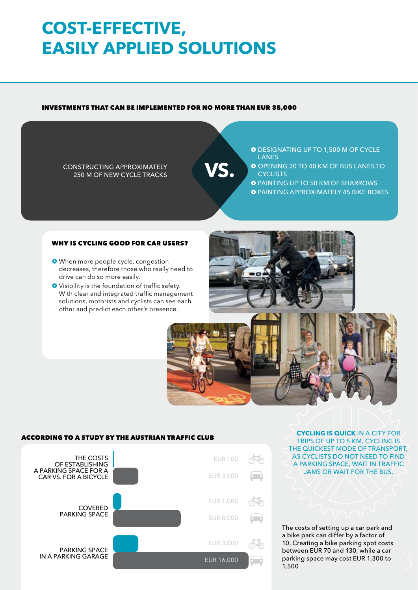# **COST-EFFECTIVE, EASILY APPLIED SOLUTIONS**

#### INVESTMENTS THAT CAN BE IMPLEMENTED FOR NO MORE THAN EUR 35,000

CONSTRUCTING APPROXIMATELY<br>
250 M OF NEW CYCLE TRACKS

O DESIGNATING UP TO 1,500 M OF CYCLE LANES

O OPENING 20 TO 40 KM OF BUS LANES TO **CYCLISTS** 

**O** PAINTING UP TO 50 KM OF SHARROWS

**O PAINTING APPROXIMATELY 45 BIKE BOXES** 

#### WHY IS CYCLING GOOD FOR CAR USERS?

- **O** When more people cycle, congestion decreases, therefore those who really need to drive can do so more easily.
- Visibility is the foundation of traffic safety. With clear and integrated traffic management solutions, motorists and cyclists can see each other and predict each other's presence.





#### According to a study by the Austrian Traffic Club



**CYCLING IS QUICK** IN A CITY FOR TRIPS OF UP TO 5 KM, CYCLING IS THE QUICKEST MODE OF TRANSPORT, AS CYCLISTS DO NOT NEED TO FIND A PARKING SPACE, WAIT IN TRAFFIC JAMS OR WAIT FOR THE BUS.

The costs of setting up a car park and a bike park can differ by a factor of 10. Creating a bike parking spot costs between EUR 70 and 130, while a car parking space may cost EUR 1,300 to 1,500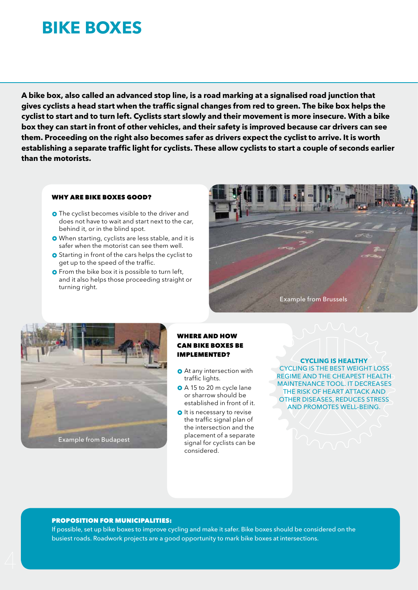### **Bike BOXes**

**A bike box, also called an advanced stop line, is a road marking at a signalised road junction that gives cyclists a head start when the traffic signal changes from red to green. The bike box helps the cyclist to start and to turn left. Cyclists start slowly and their movement is more insecure. With a bike box they can start in front of other vehicles, and their safety is improved because car drivers can see them. Proceeding on the right also becomes safer as drivers expect the cyclist to arrive. It is worth establishing a separate traffic light for cyclists. These allow cyclists to start a couple of seconds earlier than the motorists.**

#### WHY ARE BIKE BOXES GOOD?

- **O** The cyclist becomes visible to the driver and does not have to wait and start next to the car, behind it, or in the blind spot.
- When starting, cyclists are less stable, and it is safer when the motorist can see them well.
- **O** Starting in front of the cars helps the cyclist to get up to the speed of the traffic.
- **O** From the bike box it is possible to turn left, and it also helps those proceeding straight or turning right.





#### WHERE AND HOW CAN BIKE BOXES BE IMPLEMENTED?

- **O** At any intersection with traffic lights.
- A 15 to 20 m cycle lane or sharrow should be established in front of it.
- $\bullet$  It is necessary to revise the traffic signal plan of the intersection and the placement of a separate signal for cyclists can be considered.

**CYCLING IS HEALTHY**  CYCLING IS THE BEST WEIGHT LOSS REGIME AND THE CHEAPEST HEALTH MAINTENANCE TOOL. IT DECREASES THE RISK OF HEART ATTACK AND OTHER DISEASES, REDUCES STRESS AND PROMOTES WELL-BEING.

#### PROPOSITION FOR MUNICIPALITIES:

If possible, set up bike boxes to improve cycling and make it safer. Bike boxes should be considered on the busiest roads. Roadwork projects are a good opportunity to mark bike boxes at intersections.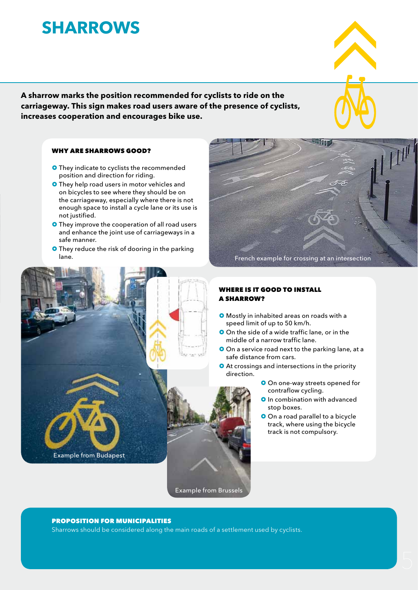### **SHARROWs**

**A sharrow marks the position recommended for cyclists to ride on the carriageway. This sign makes road users aware of the presence of cyclists, increases cooperation and encourages bike use.**

#### WHY ARE SHARROWS GOOD?

- They indicate to cyclists the recommended position and direction for riding.
- **O** They help road users in motor vehicles and on bicycles to see where they should be on the carriageway, especially where there is not enough space to install a cycle lane or its use is not justified.
- **O** They improve the cooperation of all road users and enhance the joint use of carriageways in a safe manner.
- **O** They reduce the risk of dooring in the parking



#### WHERE IS IT GOOD TO INSTALL a SHARROW?

- Mostly in inhabited areas on roads with a speed limit of up to 50 km/h.
- **O** On the side of a wide traffic lane, or in the middle of a narrow traffic lane.
- O On a service road next to the parking lane, at a safe distance from cars.
- **O** At crossings and intersections in the priority direction.
	- O On one-way streets opened for contraflow cycling.
	- **O** In combination with advanced stop boxes.
	- **O** On a road parallel to a bicycle track, where using the bicycle track is not compulsory.



Example from Budapest

Sharrows should be considered along the main roads of a settlement used by cyclists.

Example from Brussels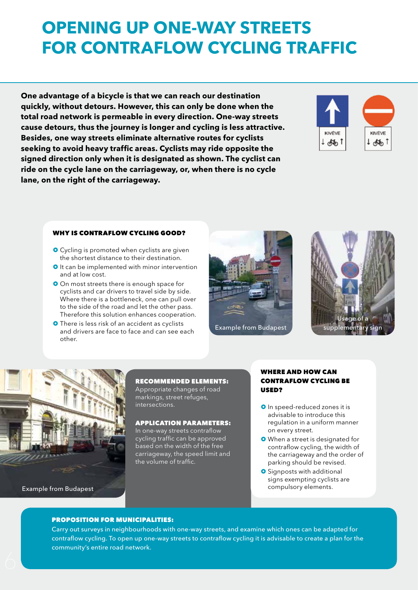# **OPENING UP ONE-WAY STREETS FOR CONTRAFLOW CYCLING TRAFFIC**

**One advantage of a bicycle is that we can reach our destination quickly, without detours. However, this can only be done when the total road network is permeable in every direction. One-way streets cause detours, thus the journey is longer and cycling is less attractive. Besides, one way streets eliminate alternative routes for cyclists seeking to avoid heavy traffic areas. Cyclists may ride opposite the signed direction only when it is designated as shown. The cyclist can ride on the cycle lane on the carriageway, or, when there is no cycle lane, on the right of the carriageway.**



#### WHY IS CONTRAFLOW CYCLING GOOD?

- **O** Cycling is promoted when cyclists are given the shortest distance to their destination.
- **O** It can be implemented with minor intervention and at low cost.
- O On most streets there is enough space for cyclists and car drivers to travel side by side. Where there is a bottleneck, one can pull over to the side of the road and let the other pass. Therefore this solution enhances cooperation.
- There is less risk of an accident as cyclists and drivers are face to face and can see each other.









RECOMMENDED ELEMENTS: Appropriate changes of road markings, street refuges, intersections.

#### APPLICATION PARAMETERS:

In one-way streets contraflow cycling traffic can be approved based on the width of the free carriageway, the speed limit and the volume of traffic.

#### WHERE AND HOW CAN CONTRAFLOW CYCLING BE USED?

- **O** In speed-reduced zones it is advisable to introduce this regulation in a uniform manner on every street.
- When a street is designated for contraflow cycling, the width of the carriageway and the order of parking should be revised.
- **O** Signposts with additional signs exempting cyclists are

#### PROPOSITION FOR MUNICIPALITIES:

Carry out surveys in neighbourhoods with one-way streets, and examine which ones can be adapted for contraflow cycling. To open up one-way streets to contraflow cycling it is advisable to create a plan for the community's entire road network.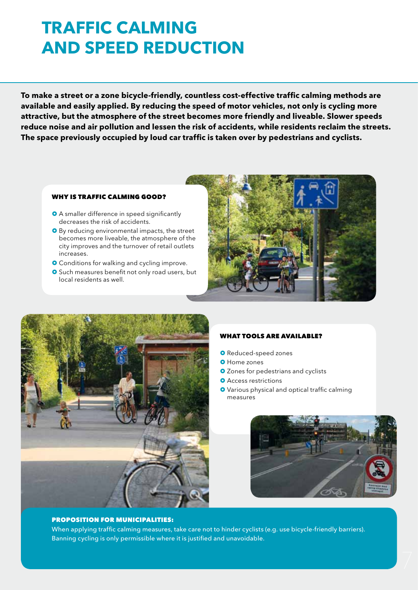### **TRAFFIC CALMING AND SPEED REDUCTION**

**To make a street or a zone bicycle-friendly, countless cost-effective traffic calming methods are available and easily applied. By reducing the speed of motor vehicles, not only is cycling more attractive, but the atmosphere of the street becomes more friendly and liveable. Slower speeds reduce noise and air pollution and lessen the risk of accidents, while residents reclaim the streets. The space previously occupied by loud car traffic is taken over by pedestrians and cyclists.**

#### WHY IS TRAFFIC CALMING GOOD?

- A smaller difference in speed significantly decreases the risk of accidents.
- **O** By reducing environmental impacts, the street becomes more liveable, the atmosphere of the city improves and the turnover of retail outlets increases.
- **O** Conditions for walking and cycling improve.
- **O** Such measures benefit not only road users, but local residents as well.





#### WHAT TOOLS ARE AVAILABLE?

- **O** Reduced-speed zones
- **O** Home zones
- **O** Zones for pedestrians and cyclists
- **O** Access restrictions
- **O** Various physical and optical traffic calming measures



#### PROPOSITION FOR MUNICIPALITIES:

When applying traffic calming measures, take care not to hinder cyclists (e.g. use bicycle-friendly barriers). Banning cycling is only permissible where it is justified and unavoidable.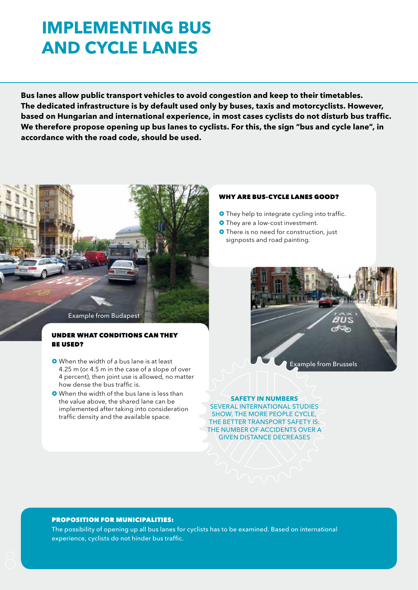### **IMPLEMENTING BUS AND CYCLe LANES**

**Bus lanes allow public transport vehicles to avoid congestion and keep to their timetables. The dedicated infrastructure is by default used only by buses, taxis and motorcyclists. However, based on Hungarian and international experience, in most cases cyclists do not disturb bus traffic. We therefore propose opening up bus lanes to cyclists. For this, the sign "bus and cycle lane", in accordance with the road code, should be used.**



#### UNDER WHAT CONDITIONS CAN THEY BE USED?

- When the width of a bus lane is at least 4.25 m (or 4.5 m in the case of a slope of over 4 percent), then joint use is allowed, no matter how dense the bus traffic is.
- **O** When the width of the bus lane is less than the value above, the shared lane can be implemented after taking into consideration traffic density and the available space.

#### WHY ARE BUS-CYCLE LANES GOOD?

- **O** They help to integrate cycling into traffic.
- **O** They are a low-cost investment.
- **O** There is no need for construction, just signposts and road painting.



**SAFETY IN NUMBERS**  SEVERAL INTERNATIONAL STUDIES SHOW, THE MORE PEOPLE CYCLE, THE BETTER TRANSPORT SAFETY IS: THE NUMBER OF ACCIDENTS OVER A GIVEN DISTANCE DECREASES

#### PROPOSITION FOR MUNICIPALITIES:

The possibility of opening up all bus lanes for cyclists has to be examined. Based on international experience, cyclists do not hinder bus traffic.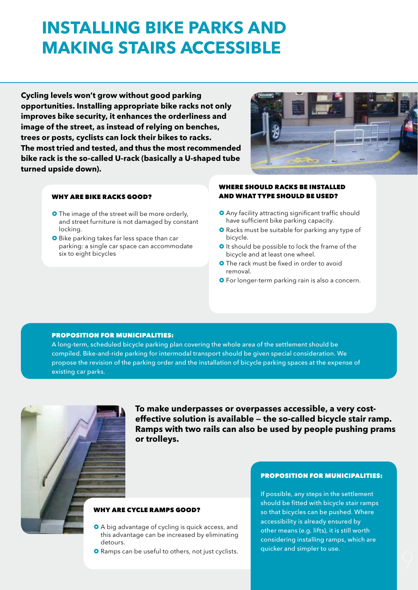### **INSTALLING BIKE PARKS AND MAKING STAIRS ACCESSIBLE**

**Cycling levels won't grow without good parking opportunities. Installing appropriate bike racks not only improves bike security, it enhances the orderliness and image of the street, as instead of relying on benches, trees or posts, cyclists can lock their bikes to racks. The most tried and tested, and thus the most recommended bike rack is the so-called U-rack (basically a U-shaped tube turned upside down).**



#### WHY ARE BIKE RACKS GOOD?

- **O** The image of the street will be more orderly, and street furniture is not damaged by constant locking.
- **O** Bike parking takes far less space than car parking: a single car space can accommodate six to eight bicycles

#### WHERE SHOULD RACKS BE INSTALLED AND WHAT TYPE SHOULD BE USED?

- **O** Any facility attracting significant traffic should have sufficient bike parking capacity.
- **O** Racks must be suitable for parking any type of bicycle.
- **O** It should be possible to lock the frame of the bicycle and at least one wheel.
- **O** The rack must be fixed in order to avoid removal.
- **O** For longer-term parking rain is also a concern.

#### PROPOSITION FOR MUNICIPALITIES:

A long-term, scheduled bicycle parking plan covering the whole area of the settlement should be compiled. Bike-and-ride parking for intermodal transport should be given special consideration. We propose the revision of the parking order and the installation of bicycle parking spaces at the expense of existing car parks.



**To make underpasses or overpasses accessible, a very costeffective solution is available — the so-called bicycle stair ramp. Ramps with two rails can also be used by people pushing prams or trolleys.**

#### WHY ARE CYCLE RAMPS GOOD?

- A big advantage of cycling is quick access, and this advantage can be increased by eliminating detours.
- **O** Ramps can be useful to others, not just cyclists.

#### PROPOSITION FOR MUNICIPALITIES:

If possible, any steps in the settlement should be fitted with bicycle stair ramps so that bicycles can be pushed. Where accessibility is already ensured by other means (e.g. lifts), it is still worth considering installing ramps, which are quicker and simpler to use.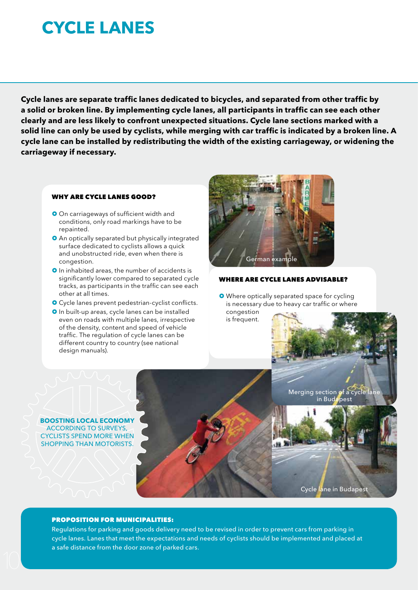### **CYCLE LANEs**

**Cycle lanes are separate traffic lanes dedicated to bicycles, and separated from other traffic by a solid or broken line. By implementing cycle lanes, all participants in traffic can see each other clearly and are less likely to confront unexpected situations. Cycle lane sections marked with a solid line can only be used by cyclists, while merging with car traffic is indicated by a broken line. A cycle lane can be installed by redistributing the width of the existing carriageway, or widening the carriageway if necessary.**

#### WHY ARE CYCLE LANES GOOD?

- **O** On carriageways of sufficient width and conditions, only road markings have to be repainted.
- An optically separated but physically integrated surface dedicated to cyclists allows a quick and unobstructed ride, even when there is congestion.
- **O** In inhabited areas, the number of accidents is significantly lower compared to separated cycle tracks, as participants in the traffic can see each other at all times.
- Cycle lanes prevent pedestrian-cyclist conflicts.
- **O** In built-up areas, cycle lanes can be installed even on roads with multiple lanes, irrespective of the density, content and speed of vehicle traffic. The regulation of cycle lanes can be different country to country (see national design manuals).



#### WHERE ARE CYCLE LANES ADVISABLE?

**O** Where optically separated space for cycling is necessary due to heavy car traffic or where congestion is frequent.

**BOOSTING LOCAL ECONOMY**  ACCORDING TO SURVEYS, CYCLISTS SPEND MORE WHEN SHOPPING THAN MOTORISTS. Merging section of a cycle lane in Budapest

Cycle lane in Budapest

#### PROPOSITION FOR MUNICIPALITIES:

Regulations for parking and goods delivery need to be revised in order to prevent cars from parking in cycle lanes. Lanes that meet the expectations and needs of cyclists should be implemented and placed at a safe distance from the door zone of parked cars.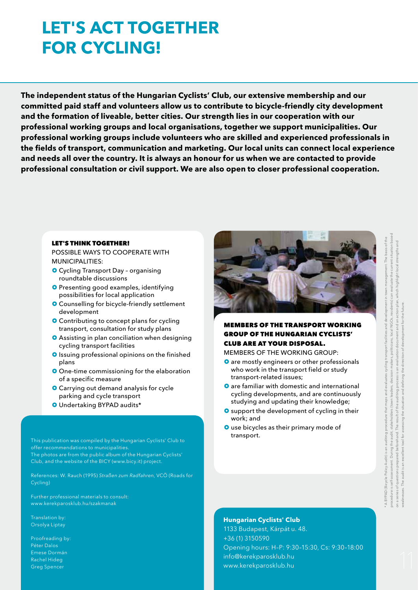# **LET'S ACT TOGETHER FOR CYCLING!**

**The independent status of the Hungarian Cyclists' Club, our extensive membership and our committed paid staff and volunteers allow us to contribute to bicycle-friendly city development and the formation of liveable, better cities. Our strength lies in our cooperation with our professional working groups and local organisations, together we support municipalities. Our professional working groups include volunteers who are skilled and experienced professionals in the fields of transport, communication and marketing. Our local units can connect local experience and needs all over the country. It is always an honour for us when we are contacted to provide professional consultation or civil support. We are also open to closer professional cooperation.**

#### LET'S THINK TOGETHER!

POSSIBLE WAYS to COOPERATe WITH MUNICIPALITIES:

- **O** Cycling Transport Day organising roundtable discussions
- **O** Presenting good examples, identifying possibilities for local application
- **O** Counselling for bicycle-friendly settlement development
- **O** Contributing to concept plans for cycling transport, consultation for study plans
- **O** Assisting in plan conciliation when designing cycling transport facilities
- **O** Issuing professional opinions on the finished plans
- **O** One-time commissioning for the elaboration of a specific measure
- **O** Carrying out demand analysis for cycle parking and cycle transport
- Undertaking BYPAD audits\*

This publication was compiled by the Hungarian Cyclists' Club to offer recommendations to municipalities. The photos are from the public album of the Hungarian Cyclists' Club, and the website of the BICY (www.bicy.it) project.

References: W. Rauch (1995) *Straßen zum Radfahren*, VCÖ (Roads for Cycling)

www.kerekparosklub.hu/szakmanak

Translation by: Orsolya Liptay

Proofreading by: Péter Dalos Emese Dormán Rachel Hideg Greg Spencer



### MEMBERS OF THE TRANSPORT WORKING GROUP OF THE HUNGARIAN CYCLISTS' CLUB ARE AT YOUR DISPOSAL.

MEMBERS OF THE WORKING GROUP:

- **O** are mostly engineers or other professionals who work in the transport field or study transport-related issues;
- **O** are familiar with domestic and international cycling developments, and are continuously studying and updating their knowledge;
- **O** support the development of cycling in their work; and
- **O** use bicycles as their primary mode of transport.

#### **Hungarian Cyclists' Club**

1133 Budapest, Kárpát u. 48. +36 (1) 3150590 Opening hours: H–P: 9:30–15:30, Cs: 9:30–18:00 info@kerekparosklub.hu www.kerekparosklub.hu